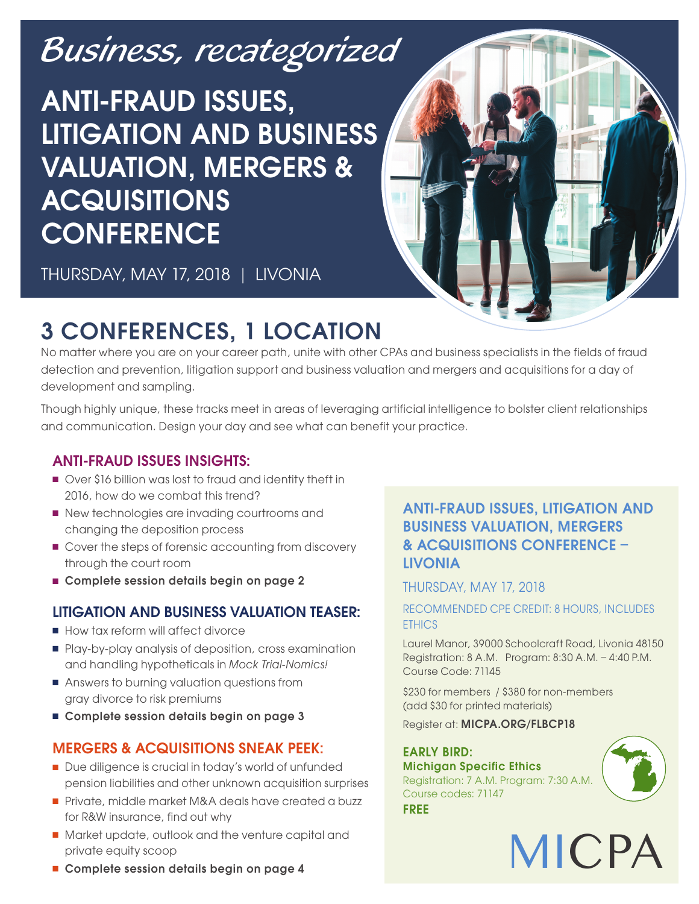# [Business, recategorized](www.micpa.org/FLBCP18)

# ANTI-FRAUD ISSUES, LITIGATION AND BUSINESS VALUATION, MERGERS & **ACQUISITIONS CONFERENCE**



THURSDAY, MAY 17, 2018 | LIVONIA

# 3 CONFERENCES, 1 LOCATION

No matter where you are on your career path, unite with other CPAs and business specialists in the fields of fraud detection and prevention, litigation support and business valuation and mergers and acquisitions for a day of development and sampling.

Though highly unique, these tracks meet in areas of leveraging artificial intelligence to bolster client relationships and communication. Design your day and see what can benefit your practice.

# ANTI-FRAUD ISSUES INSIGHTS:

- <sup>n</sup> Over \$16 billion was lost to fraud and identity theft in 2016, how do we combat this trend?
- New technologies are invading courtrooms and changing the deposition process
- Cover the steps of forensic accounting from discovery through the court room
- Complete session details begin on page 2

# LITIGATION AND BUSINESS VALUATION TEASER:

- How tax reform will affect divorce
- <sup>n</sup> Play-by-play analysis of deposition, cross examination and handling hypotheticals in Mock Trial-Nomics!
- **n** Answers to burning valuation questions from gray divorce to risk premiums
- Complete session details begin on page 3

# MERGERS & ACQUISITIONS SNEAK PEEK:

- Due diligence is crucial in today's world of unfunded pension liabilities and other unknown acquisition surprises
- Private, middle market M&A deals have created a buzz for R&W insurance, find out why
- Market update, outlook and the venture capital and private equity scoop

## ANTI-FRAUD ISSUES, LITIGATION AND BUSINESS VALUATION, MERGERS & ACQUISITIONS CONFERENCE – LIVONIA

## THURSDAY, MAY 17, 2018

#### RECOMMENDED CPE CREDIT: 8 HOURS, INCLUDES ETHICS

Laurel Manor, 39000 Schoolcraft Road, Livonia 48150 Registration: 8 A.M. Program: 8:30 A.M. – 4:40 P.M. Course Code: 71145

\$230 for members / \$380 for non-members (add \$30 for printed materials)

Register at: MICPA.ORG/FLBCP18

## EARLY BIRD:

Michigan Specific Ethics Registration: 7 A.M. Program: 7:30 A.M. Course codes: 71147 FREE



MICPA

**n** Complete session details begin on page 4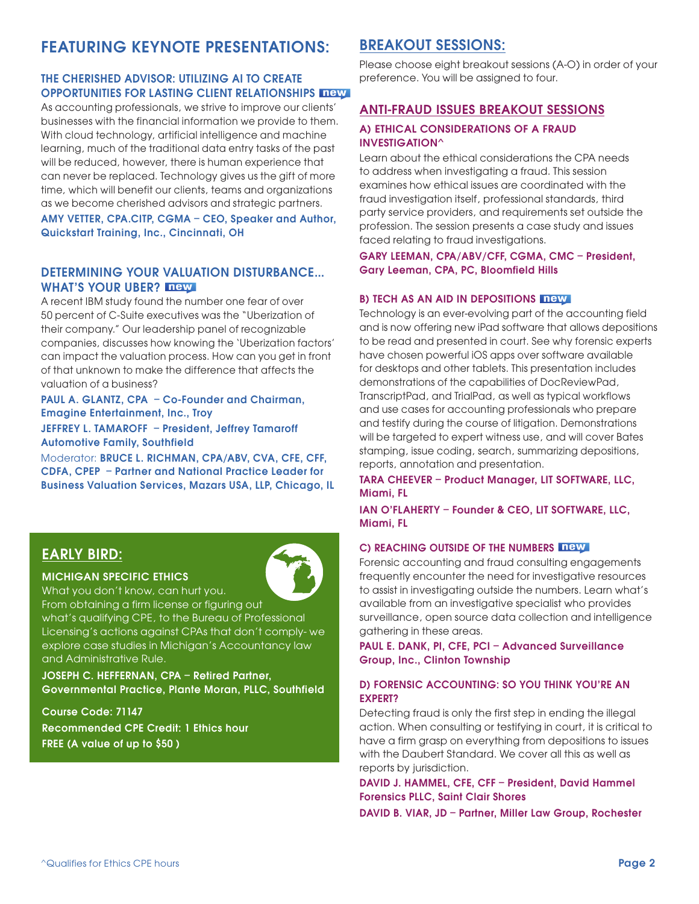# [FEATURING KEYNOTE PRESENTATIONS:](www.micpa.org/FLBCP18)

#### THE CHERISHED ADVISOR: UTILIZING AI TO CREATE OPPORTUNITIES FOR LASTING CLIENT RELATIONSHIPS

As accounting professionals, we strive to improve our clients' businesses with the financial information we provide to them. With cloud technology, artificial intelligence and machine learning, much of the traditional data entry tasks of the past will be reduced, however, there is human experience that can never be replaced. Technology gives us the gift of more time, which will benefit our clients, teams and organizations as we become cherished advisors and strategic partners.

#### AMY VETTER, CPA.CITP, CGMA – CEO, Speaker and Author, Quickstart Training, Inc., Cincinnati, OH

#### DETERMINING YOUR VALUATION DISTURBANCE… WHAT'S YOUR UBER? **Thew**

A recent IBM study found the number one fear of over 50 percent of C-Suite executives was the "Uberization of their company." Our leadership panel of recognizable companies, discusses how knowing the 'Uberization factors' can impact the valuation process. How can you get in front of that unknown to make the difference that affects the valuation of a business?

#### PAUL A. GLANTZ, CPA – Co-Founder and Chairman, Emagine Entertainment, Inc., Troy

JEFFREY L. TAMAROFF – President, Jeffrey Tamaroff Automotive Family, Southfield

Moderator: BRUCE L. RICHMAN, CPA/ABV, CVA, CFE, CFF, CDFA, CPEP – Partner and National Practice Leader for Business Valuation Services, Mazars USA, LLP, Chicago, IL

## EARLY BIRD:

#### MICHIGAN SPECIFIC ETHICS

What you don't know, can hurt you.



From obtaining a firm license or figuring out what's qualifying CPE, to the Bureau of Professional Licensing's actions against CPAs that don't comply- we explore case studies in Michigan's Accountancy law and Administrative Rule.

JOSEPH C. HEFFERNAN, CPA – Retired Partner, Governmental Practice, Plante Moran, PLLC, Southfield

Course Code: 71147 Recommended CPE Credit: 1 Ethics hour FREE (A value of up to \$50 )

# BREAKOUT SESSIONS:

Please choose eight breakout sessions (A-O) in order of your preference. You will be assigned to four.

#### ANTI-FRAUD ISSUES BREAKOUT SESSIONS

#### A) ETHICAL CONSIDERATIONS OF A FRAUD INVESTIGATION^

Learn about the ethical considerations the CPA needs to address when investigating a fraud. This session examines how ethical issues are coordinated with the fraud investigation itself, professional standards, third party service providers, and requirements set outside the profession. The session presents a case study and issues faced relating to fraud investigations.

#### GARY LEEMAN, CPA/ABV/CFF, CGMA, CMC – President, Gary Leeman, CPA, PC, Bloomfield Hills

#### B) TECH AS AN AID IN DEPOSITIONS new

Technology is an ever-evolving part of the accounting field and is now offering new iPad software that allows depositions to be read and presented in court. See why forensic experts have chosen powerful iOS apps over software available for desktops and other tablets. This presentation includes demonstrations of the capabilities of DocReviewPad, TranscriptPad, and TrialPad, as well as typical workflows and use cases for accounting professionals who prepare and testify during the course of litigation. Demonstrations will be targeted to expert witness use, and will cover Bates stamping, issue coding, search, summarizing depositions, reports, annotation and presentation.

#### TARA CHEEVER – Product Manager, LIT SOFTWARE, LLC, Miami, FL

IAN O'FLAHERTY – Founder & CEO, LIT SOFTWARE, LLC, Miami, FL

#### C) REACHING OUTSIDE OF THE NUMBERS THEW

Forensic accounting and fraud consulting engagements frequently encounter the need for investigative resources to assist in investigating outside the numbers. Learn what's available from an investigative specialist who provides surveillance, open source data collection and intelligence gathering in these areas.

PAUL E. DANK, PI, CFE, PCI – Advanced Surveillance Group, Inc., Clinton Township

#### D) FORENSIC ACCOUNTING: SO YOU THINK YOU'RE AN EXPERT?

Detecting fraud is only the first step in ending the illegal action. When consulting or testifying in court, it is critical to have a firm grasp on everything from depositions to issues with the Daubert Standard. We cover all this as well as reports by jurisdiction.

#### DAVID J. HAMMEL, CFE, CFF – President, David Hammel Forensics PLLC, Saint Clair Shores

DAVID B. VIAR, JD – Partner, Miller Law Group, Rochester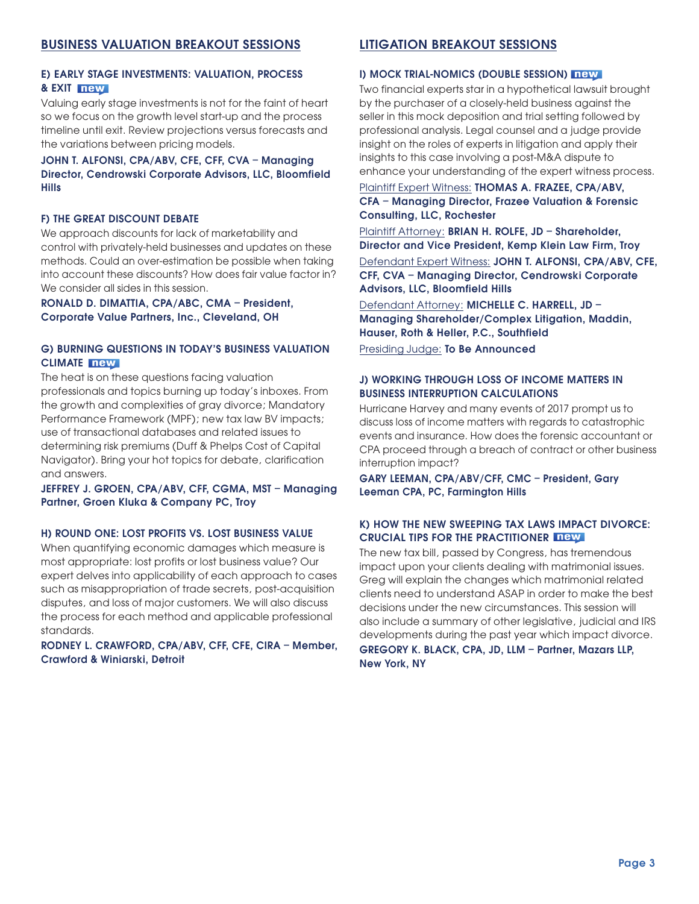#### E) EARLY STAGE INVESTMENTS: VALUATION, PROCESS & EXIT new

Valuing early stage investments is not for the faint of heart so we focus on the growth level start-up and the process timeline until exit. Review projections versus forecasts and the variations between pricing models.

#### JOHN T. ALFONSI, CPA/ABV, CFE, CFF, CVA – Managing Director, Cendrowski Corporate Advisors, LLC, Bloomfield Hills

#### F) THE GREAT DISCOUNT DEBATE

We approach discounts for lack of marketability and control with privately-held businesses and updates on these methods. Could an over-estimation be possible when taking into account these discounts? How does fair value factor in? We consider all sides in this session.

#### RONALD D. DIMATTIA, CPA/ABC, CMA – President, Corporate Value Partners, Inc., Cleveland, OH

#### G) BURNING QUESTIONS IN TODAY'S BUSINESS VALUATION CLIMATE new

The heat is on these questions facing valuation professionals and topics burning up today's inboxes. From the growth and complexities of gray divorce; Mandatory Performance Framework (MPF); new tax law BV impacts; use of transactional databases and related issues to determining risk premiums (Duff & Phelps Cost of Capital Navigator). Bring your hot topics for debate, clarification and answers.

#### JEFFREY J. GROEN, CPA/ABV, CFF, CGMA, MST – Managing Partner, Groen Kluka & Company PC, Troy

#### H) ROUND ONE: LOST PROFITS VS. LOST BUSINESS VALUE

When quantifying economic damages which measure is most appropriate: lost profits or lost business value? Our expert delves into applicability of each approach to cases such as misappropriation of trade secrets, post-acquisition disputes, and loss of major customers. We will also discuss the process for each method and applicable professional standards.

#### RODNEY L. CRAWFORD, CPA/ABV, CFF, CFE, CIRA – Member, Crawford & Winiarski, Detroit

#### LITIGATION BREAKOUT SESSIONS

#### I) MOCK TRIAL-NOMICS (DOUBLE SESSION) THEW

Two financial experts star in a hypothetical lawsuit brought by the purchaser of a closely-held business against the seller in this mock deposition and trial setting followed by professional analysis. Legal counsel and a judge provide insight on the roles of experts in litigation and apply their insights to this case involving a post-M&A dispute to enhance your understanding of the expert witness process.

Plaintiff Expert Witness: THOMAS A. FRAZEE, CPA/ABV, CFA – Managing Director, Frazee Valuation & Forensic Consulting, LLC, Rochester

Plaintiff Attorney: BRIAN H. ROLFE, JD - Shareholder, Director and Vice President, Kemp Klein Law Firm, Troy Defendant Expert Witness: JOHN T. ALFONSI, CPA/ABV, CFE, CFF, CVA – Managing Director, Cendrowski Corporate Advisors, LLC, Bloomfield Hills

Defendant Attorney: MICHELLE C. HARRELL, JD – Managing Shareholder/Complex Litigation, Maddin, Hauser, Roth & Heller, P.C., Southfield

Presiding Judge: To Be Announced

#### J) WORKING THROUGH LOSS OF INCOME MATTERS IN BUSINESS INTERRUPTION CALCULATIONS

Hurricane Harvey and many events of 2017 prompt us to discuss loss of income matters with regards to catastrophic events and insurance. How does the forensic accountant or CPA proceed through a breach of contract or other business interruption impact?

GARY LEEMAN, CPA/ABV/CFF, CMC – President, Gary Leeman CPA, PC, Farmington Hills

#### K) HOW THE NEW SWEEPING TAX LAWS IMPACT DIVORCE: CRUCIAL TIPS FOR THE PRACTITIONER **THEM**

The new tax bill, passed by Congress, has tremendous impact upon your clients dealing with matrimonial issues. Greg will explain the changes which matrimonial related clients need to understand ASAP in order to make the best decisions under the new circumstances. This session will also include a summary of other legislative, judicial and IRS developments during the past year which impact divorce.

GREGORY K. BLACK, CPA, JD, LLM – Partner, Mazars LLP, New York, NY